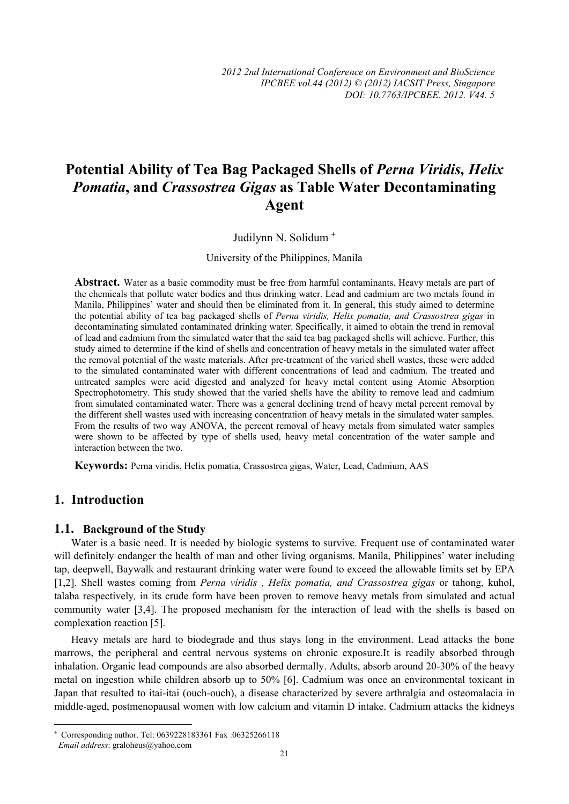# **Potential Ability of Tea Bag Packaged Shells of** *Perna Viridis, Helix Pomatia***, and** *Crassostrea Gigas* **as Table Water Decontaminating Agent**

Judilynn N. Solidum <sup>+</sup>

University of the Philippines, Manila

Abstract. Water as a basic commodity must be free from harmful contaminants. Heavy metals are part of the chemicals that pollute water bodies and thus drinking water. Lead and cadmium are two metals found in Manila, Philippines' water and should then be eliminated from it. In general, this study aimed to determine the potential ability of tea bag packaged shells of *Perna viridis, Helix pomatia, and Crassostrea gigas* in decontaminating simulated contaminated drinking water. Specifically, it aimed to obtain the trend in removal of lead and cadmium from the simulated water that the said tea bag packaged shells will achieve. Further, this study aimed to determine if the kind of shells and concentration of heavy metals in the simulated water affect the removal potential of the waste materials. After pre-treatment of the varied shell wastes, these were added to the simulated contaminated water with different concentrations of lead and cadmium. The treated and untreated samples were acid digested and analyzed for heavy metal content using Atomic Absorption Spectrophotometry. This study showed that the varied shells have the ability to remove lead and cadmium from simulated contaminated water. There was a general declining trend of heavy metal percent removal by the different shell wastes used with increasing concentration of heavy metals in the simulated water samples. From the results of two way ANOVA, the percent removal of heavy metals from simulated water samples were shown to be affected by type of shells used, heavy metal concentration of the water sample and interaction between the two.

**Keywords:** Perna viridis, Helix pomatia, Crassostrea gigas, Water, Lead, Cadmium, AAS

### **1. Introduction**

#### **1.1. Background of the Study**

Water is a basic need. It is needed by biologic systems to survive. Frequent use of contaminated water will definitely endanger the health of man and other living organisms. Manila, Philippines' water including tap, deepwell, Baywalk and restaurant drinking water were found to exceed the allowable limits set by EPA [1,2]. Shell wastes coming from *Perna viridis , Helix pomatia, and Crassostrea gigas* or tahong, kuhol, talaba respectively*,* in its crude form have been proven to remove heavy metals from simulated and actual community water [3,4]. The proposed mechanism for the interaction of lead with the shells is based on complexation reaction [5].

Heavy metals are hard to biodegrade and thus stays long in the environment. Lead attacks the bone marrows, the peripheral and central nervous systems on chronic exposure.It is readily absorbed through inhalation. Organic lead compounds are also absorbed dermally. Adults, absorb around 20-30% of the heavy metal on ingestion while children absorb up to 50% [6]. Cadmium was once an environmental toxicant in Japan that resulted to itai-itai (ouch-ouch), a disease characterized by severe arthralgia and osteomalacia in middle-aged, postmenopausal women with low calcium and vitamin D intake. Cadmium attacks the kidneys

 $\overline{a}$ 

<sup>+</sup> Corresponding author. Tel: 0639228183361 Fax :06325266118

*Email address*: graloheus@yahoo.com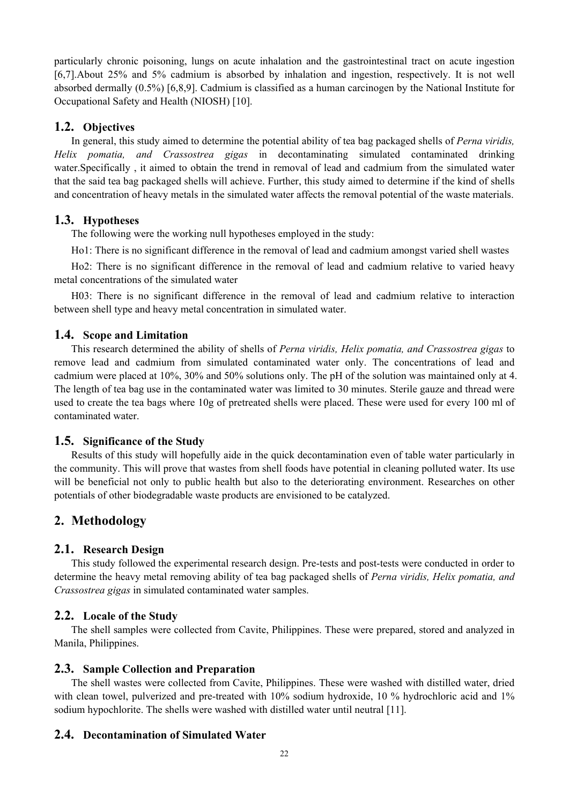particularly chronic poisoning, lungs on acute inhalation and the gastrointestinal tract on acute ingestion [6,7].About 25% and 5% cadmium is absorbed by inhalation and ingestion, respectively. It is not well absorbed dermally (0.5%) [6,8,9]. Cadmium is classified as a human carcinogen by the National Institute for Occupational Safety and Health (NIOSH) [10].

#### **1.2. Objectives**

In general, this study aimed to determine the potential ability of tea bag packaged shells of *Perna viridis, Helix pomatia, and Crassostrea gigas* in decontaminating simulated contaminated drinking water.Specifically , it aimed to obtain the trend in removal of lead and cadmium from the simulated water that the said tea bag packaged shells will achieve. Further, this study aimed to determine if the kind of shells and concentration of heavy metals in the simulated water affects the removal potential of the waste materials.

# **1.3. Hypotheses**

The following were the working null hypotheses employed in the study:

Ho1: There is no significant difference in the removal of lead and cadmium amongst varied shell wastes

Ho2: There is no significant difference in the removal of lead and cadmium relative to varied heavy metal concentrations of the simulated water

H03: There is no significant difference in the removal of lead and cadmium relative to interaction between shell type and heavy metal concentration in simulated water.

#### **1.4. Scope and Limitation**

This research determined the ability of shells of *Perna viridis, Helix pomatia, and Crassostrea gigas* to remove lead and cadmium from simulated contaminated water only. The concentrations of lead and cadmium were placed at 10%, 30% and 50% solutions only. The pH of the solution was maintained only at 4. The length of tea bag use in the contaminated water was limited to 30 minutes. Sterile gauze and thread were used to create the tea bags where 10g of pretreated shells were placed. These were used for every 100 ml of contaminated water.

#### **1.5. Significance of the Study**

Results of this study will hopefully aide in the quick decontamination even of table water particularly in the community. This will prove that wastes from shell foods have potential in cleaning polluted water. Its use will be beneficial not only to public health but also to the deteriorating environment. Researches on other potentials of other biodegradable waste products are envisioned to be catalyzed.

# **2. Methodology**

#### **2.1. Research Design**

This study followed the experimental research design. Pre-tests and post-tests were conducted in order to determine the heavy metal removing ability of tea bag packaged shells of *Perna viridis, Helix pomatia, and Crassostrea gigas* in simulated contaminated water samples.

#### **2.2. Locale of the Study**

The shell samples were collected from Cavite, Philippines. These were prepared, stored and analyzed in Manila, Philippines.

#### **2.3. Sample Collection and Preparation**

The shell wastes were collected from Cavite, Philippines. These were washed with distilled water, dried with clean towel, pulverized and pre-treated with 10% sodium hydroxide, 10 % hydrochloric acid and 1% sodium hypochlorite. The shells were washed with distilled water until neutral [11].

### **2.4. Decontamination of Simulated Water**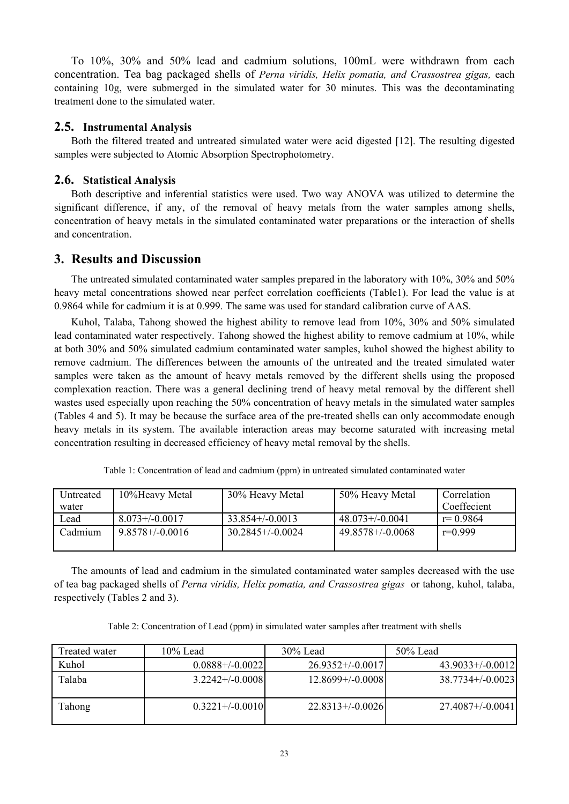To 10%, 30% and 50% lead and cadmium solutions, 100mL were withdrawn from each concentration. Tea bag packaged shells of *Perna viridis, Helix pomatia, and Crassostrea gigas,* each containing 10g, were submerged in the simulated water for 30 minutes. This was the decontaminating treatment done to the simulated water.

#### **2.5. Instrumental Analysis**

Both the filtered treated and untreated simulated water were acid digested [12]. The resulting digested samples were subjected to Atomic Absorption Spectrophotometry.

#### **2.6. Statistical Analysis**

Both descriptive and inferential statistics were used. Two way ANOVA was utilized to determine the significant difference, if any, of the removal of heavy metals from the water samples among shells, concentration of heavy metals in the simulated contaminated water preparations or the interaction of shells and concentration.

#### **3. Results and Discussion**

The untreated simulated contaminated water samples prepared in the laboratory with 10%, 30% and 50% heavy metal concentrations showed near perfect correlation coefficients (Table1). For lead the value is at 0.9864 while for cadmium it is at 0.999. The same was used for standard calibration curve of AAS.

Kuhol, Talaba, Tahong showed the highest ability to remove lead from 10%, 30% and 50% simulated lead contaminated water respectively. Tahong showed the highest ability to remove cadmium at 10%, while at both 30% and 50% simulated cadmium contaminated water samples, kuhol showed the highest ability to remove cadmium. The differences between the amounts of the untreated and the treated simulated water samples were taken as the amount of heavy metals removed by the different shells using the proposed complexation reaction. There was a general declining trend of heavy metal removal by the different shell wastes used especially upon reaching the 50% concentration of heavy metals in the simulated water samples (Tables 4 and 5). It may be because the surface area of the pre-treated shells can only accommodate enough heavy metals in its system. The available interaction areas may become saturated with increasing metal concentration resulting in decreased efficiency of heavy metal removal by the shells.

| Untreated | 10%Heavy Metal       | 30% Heavy Metal    | 50% Heavy Metal       | Correlation  |
|-----------|----------------------|--------------------|-----------------------|--------------|
| water     |                      |                    |                       | Coeffecient  |
| Lead      | $8.073 + (-0.0017)$  | $33.854+/-0.0013$  | $48.073+/-0.0041$     | $r = 0.9864$ |
| Cadmium   | $9.8578 + (-0.0016)$ | $30.2845+/-0.0024$ | $49.8578 + (-0.0068)$ | $r=0.999$    |
|           |                      |                    |                       |              |

Table 1: Concentration of lead and cadmium (ppm) in untreated simulated contaminated water

The amounts of lead and cadmium in the simulated contaminated water samples decreased with the use of tea bag packaged shells of *Perna viridis, Helix pomatia, and Crassostrea gigas* or tahong, kuhol, talaba, respectively (Tables 2 and 3).

Table 2: Concentration of Lead (ppm) in simulated water samples after treatment with shells

| Treated water | $10\%$ Lead          | $30\%$ Lead        | $50\%$ Lead           |
|---------------|----------------------|--------------------|-----------------------|
| Kuhol         | $0.0888+/0.0022$     | $26.9352+/-0.0017$ | $43.9033+/-0.0012$    |
| Talaba        | $3.2242+/-0.0008$    | $12.8699+/0.0008$  | $38.7734+/-0.0023$    |
| Tahong        | $0.3221 + (-0.0010)$ | $22.8313+/-0.0026$ | $27.4087 + (-0.0041)$ |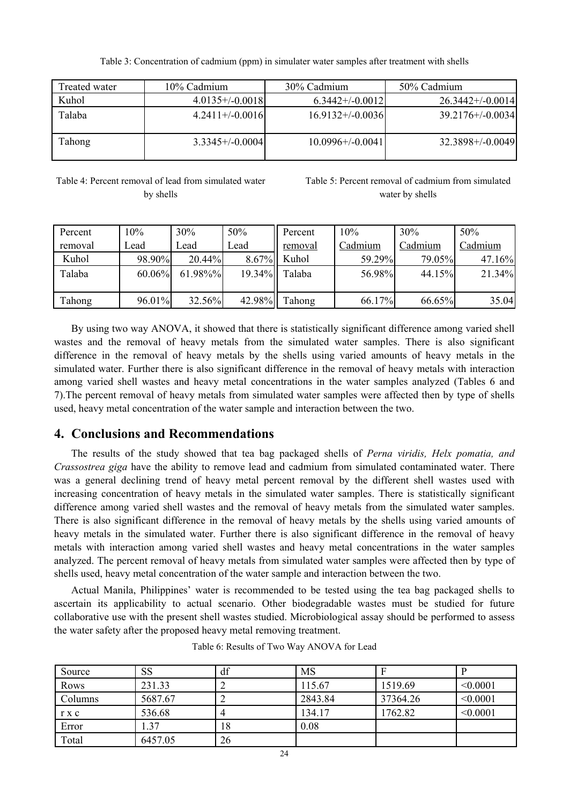Table 3: Concentration of cadmium (ppm) in simulater water samples after treatment with shells

| Treated water | 10% Cadmium       | 30% Cadmium        | 50% Cadmium           |  |
|---------------|-------------------|--------------------|-----------------------|--|
| Kuhol         | $4.0135+/0.0018$  | $6.3442+/-0.0012$  | $26.3442+/-0.0014$    |  |
| Talaba        | $4.2411+/-0.0016$ | $16.9132+/-0.0036$ | $39.2176 + (-0.0034)$ |  |
| Tahong        | $3.3345+/-0.0004$ | $10.0996+/0.0041$  | $32.3898+/0.0049$     |  |

#### Table 4: Percent removal of lead from simulated water by shells

Table 5: Percent removal of cadmium from simulated water by shells

| Percent | 10%       | 30%     | 50%    | Percent | 10%     | 30%     | 50%     |
|---------|-----------|---------|--------|---------|---------|---------|---------|
| removal | Lead      | Lead    | Lead   | removal | Cadmium | Cadmium | Cadmium |
| Kuhol   | 98.90%    | 20.44%  | 8.67%  | Kuhol   | 59.29%  | 79.05%  | 47.16%  |
| Talaba  | $60.06\%$ | 61.98%% | 19.34% | Talaba  | 56.98%  | 44.15%  | 21.34%  |
|         |           |         |        |         |         |         |         |
| Tahong  | 96.01%    | 32.56%  | 42.98% | Tahong  | 66.17%  | 66.65%  | 35.04   |

By using two way ANOVA, it showed that there is statistically significant difference among varied shell wastes and the removal of heavy metals from the simulated water samples. There is also significant difference in the removal of heavy metals by the shells using varied amounts of heavy metals in the simulated water. Further there is also significant difference in the removal of heavy metals with interaction among varied shell wastes and heavy metal concentrations in the water samples analyzed (Tables 6 and 7).The percent removal of heavy metals from simulated water samples were affected then by type of shells used, heavy metal concentration of the water sample and interaction between the two.

# **4. Conclusions and Recommendations**

The results of the study showed that tea bag packaged shells of *Perna viridis, Helx pomatia, and Crassostrea giga* have the ability to remove lead and cadmium from simulated contaminated water. There was a general declining trend of heavy metal percent removal by the different shell wastes used with increasing concentration of heavy metals in the simulated water samples. There is statistically significant difference among varied shell wastes and the removal of heavy metals from the simulated water samples. There is also significant difference in the removal of heavy metals by the shells using varied amounts of heavy metals in the simulated water. Further there is also significant difference in the removal of heavy metals with interaction among varied shell wastes and heavy metal concentrations in the water samples analyzed. The percent removal of heavy metals from simulated water samples were affected then by type of shells used, heavy metal concentration of the water sample and interaction between the two.

Actual Manila, Philippines' water is recommended to be tested using the tea bag packaged shells to ascertain its applicability to actual scenario. Other biodegradable wastes must be studied for future collaborative use with the present shell wastes studied. Microbiological assay should be performed to assess the water safety after the proposed heavy metal removing treatment.

| Source  | <b>SS</b> | df | <b>MS</b> |          |          |
|---------|-----------|----|-----------|----------|----------|
| Rows    | 231.33    |    | 115.67    | 1519.69  | < 0.0001 |
| Columns | 5687.67   |    | 2843.84   | 37364.26 | < 0.0001 |
| r x c   | 536.68    |    | 134.17    | 1762.82  | < 0.0001 |
| Error   | .37       | 18 | 0.08      |          |          |
| Total   | 6457.05   | 26 |           |          |          |